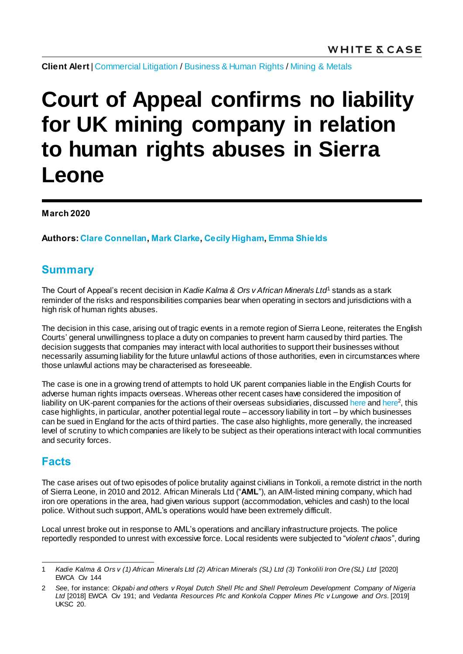**Client Alert** [| Commercial Litigation](https://www.whitecase.com/law/practices/commercial-litigation) / [Business & Human Rights](https://www.whitecase.com/law/practices/business-human-rights) / [Mining & Metals](https://www.whitecase.com/law/industries/mining-metals)

# **Court of Appeal confirms no liability for UK mining company in relation to human rights abuses in Sierra Leone**

**March 2020**

**Authors: [Clare Connellan](https://www.whitecase.com/people/clare-connellan)[, Mark Clarke](https://www.whitecase.com/people/mark-clarke), [Cecily Higham](https://www.whitecase.com/people/cecily-higham), [Emma Shields](mailto:emma.shields@whitecase.com)**

## **Summary**

The Court of Appeal's recent decision in *Kadie Kalma & Ors v African Minerals Ltd*<sup>1</sup> stands as a stark reminder of the risks and responsibilities companies bear when operating in sectors and jurisdictions with a high risk of human rights abuses.

The decision in this case, arising out of tragic events in a remote region of Sierra Leone, reiterates the English Courts' general unwillingness to place a duty on companies to prevent harm caused by third parties. The decision suggests that companies may interact with local authorities to support their businesses without necessarily assuming liability for the future unlawful actions of those authorities, even in circumstances where those unlawful actions may be characterised as foreseeable.

The case is one in a growing trend of attempts to hold UK parent companies liable in the English Courts for adverse human rights impacts overseas. Whereas other recent cases have considered the imposition of liability on UK-parent companies for the actions of their overseas subsidiaries, discussed [here](https://www.whitecase.com/publications/alert/parent-company-liability-no-arguable-basis-impose-duty-care-uk-parent-company) an[d here](https://www.whitecase.com/publications/alert/supreme-court-finds-uk-domiciled-parent-company-may-owe-duty-care-third-parties)<sup>2</sup>, this case highlights, in particular, another potential legal route – accessory liability in tort – by which businesses can be sued in England for the acts of third parties. The case also highlights, more generally, the increased level of scrutiny to which companies are likely to be subject as their operations interact with local communities and security forces.

## **Facts**

The case arises out of two episodes of police brutality against civilians in Tonkoli, a remote district in the north of Sierra Leone, in 2010 and 2012. African Minerals Ltd ("**AML**"), an AIM-listed mining company, which had iron ore operations in the area, had given various support (accommodation, vehicles and cash) to the local police. Without such support, AML's operations would have been extremely difficult.

Local unrest broke out in response to AML's operations and ancillary infrastructure projects. The police reportedly responded to unrest with excessive force. Local residents were subjected to "*violent chaos*", during

l 1 *Kadie Kalma & Ors v (1) African Minerals Ltd (2) African Minerals (SL) Ltd (3) Tonkolili Iron Ore (SL) Ltd* [2020] EWCA Civ 144

<sup>2</sup> *See*, for instance: *Okpabi and others v Royal Dutch Shell Plc and Shell Petroleum Development Company of Nigeria Ltd* [2018] EWCA Civ 191; and *Vedanta Resources Plc and Konkola Copper Mines Plc v Lungowe and Ors.* [2019] UKSC 20.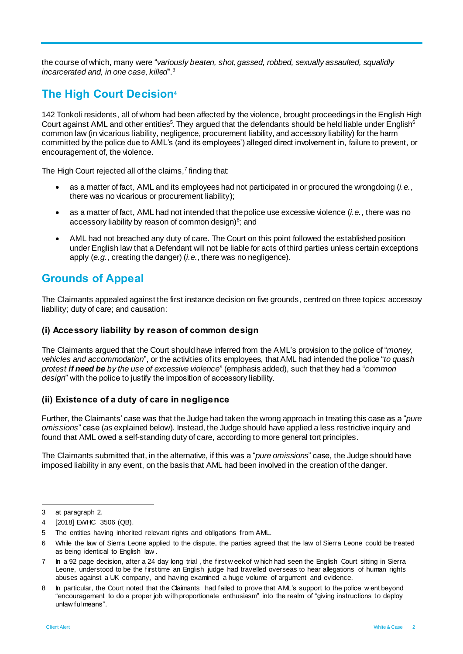the course of which, many were "*variously beaten, shot, gassed, robbed, sexually assaulted, squalidly incarcerated and, in one case, killed*".<sup>3</sup>

## **The High Court Decision<sup>4</sup>**

142 Tonkoli residents, all of whom had been affected by the violence, brought proceedings in the English High Court against AML and other entities<sup>5</sup>. They argued that the defendants should be held liable under English<sup>6</sup> common law (in vicarious liability, negligence, procurement liability, and accessory liability) for the harm committed by the police due to AML's (and its employees') alleged direct involvement in, failure to prevent, or encouragement of, the violence.

The High Court rejected all of the claims,<sup>7</sup> finding that:

- as a matter of fact, AML and its employees had not participated in or procured the wrongdoing (*i.e.*, there was no vicarious or procurement liability);
- as a matter of fact, AML had not intended that the police use excessive violence (*i.e.*, there was no accessory liability by reason of common design) $^8$ ; and
- AML had not breached any duty of care. The Court on this point followed the established position under English law that a Defendant will not be liable for acts of third parties unless certain exceptions apply (*e.g.*, creating the danger) (*i.e.*, there was no negligence).

## **Grounds of Appeal**

The Claimants appealed against the first instance decision on five grounds, centred on three topics: accessory liability; duty of care; and causation:

### **(i) Accessory liability by reason of common design**

The Claimants argued that the Court should have inferred from the AML's provision to the police of "*money, vehicles and accommodation*", or the activities of its employees, that AML had intended the police "*to quash protest if need be by the use of excessive violence*" (emphasis added), such that they had a "*common design*" with the police to justify the imposition of accessory liability.

#### **(ii) Existence of a duty of care in negligence**

Further, the Claimants' case was that the Judge had taken the wrong approach in treating this case as a "*pure omissions*" case (as explained below). Instead, the Judge should have applied a less restrictive inquiry and found that AML owed a self-standing duty of care, according to more general tort principles.

The Claimants submitted that, in the alternative, if this was a "*pure omissions*" case, the Judge should have imposed liability in any event, on the basis that AML had been involved in the creation of the danger.

l

<sup>3</sup> at paragraph 2.

<sup>4</sup> [2018] EWHC 3506 (QB).

<sup>5</sup> The entities having inherited relevant rights and obligations from AML.

<sup>6</sup> While the law of Sierra Leone applied to the dispute, the parties agreed that the law of Sierra Leone could be treated as being identical to English law .

<sup>7</sup> In a 92 page decision, after a 24 day long trial , the first w eek of w hich had seen the English Court sitting in Sierra Leone, understood to be the first time an English judge had travelled overseas to hear allegations of human rights abuses against a UK company, and having examined a huge volume of argument and evidence.

<sup>8</sup> In particular, the Court noted that the Claimants had failed to prove that AML's support to the police w ent beyond "encouragement to do a proper job w ith proportionate enthusiasm" into the realm of "giving instructions to deploy unlaw ful means".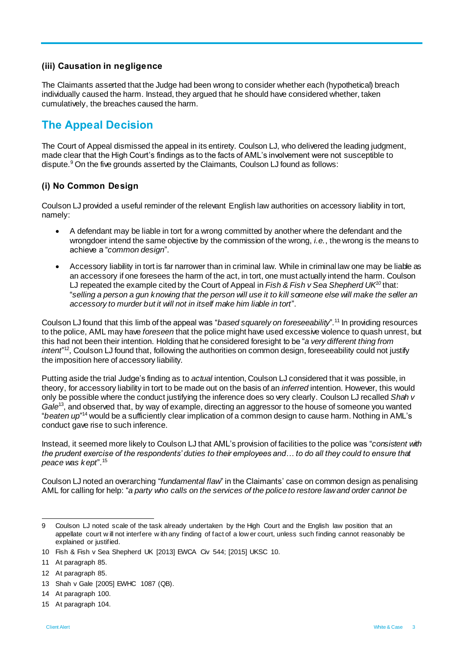### **(iii) Causation in negligence**

The Claimants asserted that the Judge had been wrong to consider whether each (hypothetical) breach individually caused the harm. Instead, they argued that he should have considered whether, taken cumulatively, the breaches caused the harm.

## **The Appeal Decision**

The Court of Appeal dismissed the appeal in its entirety. Coulson LJ, who delivered the leading judgment, made clear that the High Court's findings as to the facts of AML's involvement were not susceptible to dispute.<sup>9</sup> On the five grounds asserted by the Claimants, Coulson LJ found as follows:

#### **(i) No Common Design**

Coulson LJ provided a useful reminder of the relevant English law authorities on accessory liability in tort, namely:

- A defendant may be liable in tort for a wrong committed by another where the defendant and the wrongdoer intend the same objective by the commission of the wrong, *i.e.*, the wrong is the means to achieve a "*common design*".
- Accessory liability in tort is far narrower than in criminal law. While in criminal law one may be liable as an accessory if one foresees the harm of the act, in tort, one must actually intend the harm. Coulson LJ repeated the example cited by the Court of Appeal in *Fish & Fish v Sea Shepherd UK<sup>10</sup>* that: "*selling a person a gun knowing that the person will use it to kill someone else will make the seller an accessory to murder but it will not in itself make him liable in tort*".

Coulson LJ found that this limb of the appeal was "*based squarely on foreseeability*". <sup>11</sup> In providing resources to the police, AML may have *foreseen* that the police might have used excessive violence to quash unrest, but this had not been their intention. Holding that he considered foresight to be "*a very different thing from intent*" <sup>12</sup>, Coulson LJ found that, following the authorities on common design, foreseeability could not justify the imposition here of accessory liability.

Putting aside the trial Judge's finding as to *actual* intention, Coulson LJ considered that it was possible, in theory, for accessory liability in tort to be made out on the basis of an *inferred* intention. However, this would only be possible where the conduct justifying the inference does so very clearly. Coulson LJ recalled *Shah v*  Gale<sup>13</sup>, and observed that, by way of example, directing an aggressor to the house of someone you wanted "*beaten up*" <sup>14</sup> would be a sufficiently clear implication of a common design to cause harm. Nothing in AML's conduct gave rise to such inference.

Instead, it seemed more likely to Coulson LJ that AML's provision of facilities to the police was "*consistent with the prudent exercise of the respondents' duties to their employees and… to do all they could to ensure that peace was kept*".<sup>15</sup>

Coulson LJ noted an overarching "*fundamental flaw*" in the Claimants' case on common design as penalising AML for calling for help: "*a party who calls on the services of the police to restore law and order cannot be* 

15 At paragraph 104.

l

<sup>9</sup> Coulson LJ noted scale of the task already undertaken by the High Court and the English law position that an appellate court w ill not interfere w ith any finding of fact of a low er court, unless such finding cannot reasonably be explained or justified.

<sup>10</sup> Fish & Fish v Sea Shepherd UK [2013] EWCA Civ 544; [2015] UKSC 10.

<sup>11</sup> At paragraph 85.

<sup>12</sup> At paragraph 85.

<sup>13</sup> Shah v Gale [2005] EWHC 1087 (QB).

<sup>14</sup> At paragraph 100.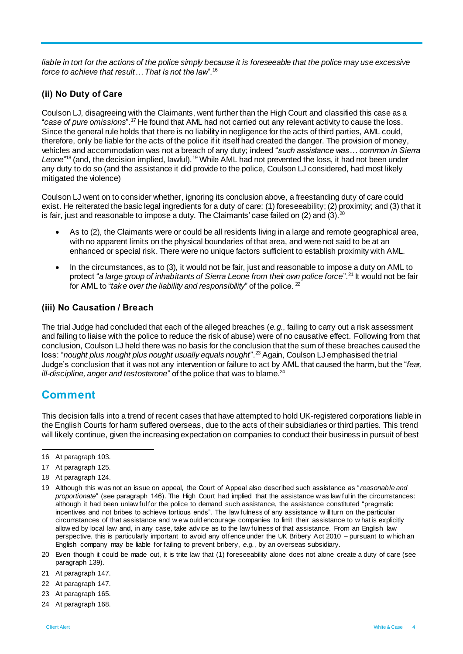*liable in tort for the actions of the police simply because it is foreseeable that the police may use excessive force to achieve that result… That is not the law*".<sup>16</sup>

#### **(ii) No Duty of Care**

Coulson LJ, disagreeing with the Claimants, went further than the High Court and classified this case as a "*case of pure omissions*".<sup>17</sup> He found that AML had not carried out any relevant activity to cause the loss. Since the general rule holds that there is no liability in negligence for the acts of third parties, AML could, therefore, only be liable for the acts of the police if it itself had created the danger. The provision of money, vehicles and accommodation was not a breach of any duty; indeed "*such assistance was… common in Sierra*  Leone"<sup>18</sup> (and, the decision implied, lawful).<sup>19</sup> While AML had not prevented the loss, it had not been under any duty to do so (and the assistance it did provide to the police, Coulson LJ considered, had most likely mitigated the violence)

Coulson LJ went on to consider whether, ignoring its conclusion above, a freestanding duty of care could exist. He reiterated the basic legal ingredients for a duty of care: (1) foreseeability; (2) proximity; and (3) that it is fair, just and reasonable to impose a duty. The Claimants' case failed on (2) and (3). $^{20}$ 

- As to (2), the Claimants were or could be all residents living in a large and remote geographical area, with no apparent limits on the physical boundaries of that area, and were not said to be at an enhanced or special risk. There were no unique factors sufficient to establish proximity with AML.
- In the circumstances, as to (3), it would not be fair, just and reasonable to impose a duty on AML to protect "*a large group of inhabitants of Sierra Leone from their own police force*".<sup>21</sup> It would not be fair for AML to "*take over the liability and responsibility*" of the police. <sup>22</sup>

#### **(iii) No Causation / Breach**

The trial Judge had concluded that each of the alleged breaches (*e.g.*, failing to carry out a risk assessment and failing to liaise with the police to reduce the risk of abuse) were of no causative effect. Following from that conclusion, Coulson LJ held there was no basis for the conclusion that the sum of these breaches caused the loss: "*nought plus nought plus nought usually equals nought*".<sup>23</sup> Again, Coulson LJ emphasised the trial Judge's conclusion that it was not any intervention or failure to act by AML that caused the harm, but the "*fear, ill-discipline, anger and testosterone*" of the police that was to blame.<sup>24</sup>

## **Comment**

This decision falls into a trend of recent cases that have attempted to hold UK-registered corporations liable in the English Courts for harm suffered overseas, due to the acts of their subsidiaries or third parties. This trend will likely continue, given the increasing expectation on companies to conduct their business in pursuit of best

l

20 Even though it could be made out, it is trite law that (1) foreseeability alone does not alone create a duty of care (see paragraph 139).

- 22 At paragraph 147.
- 23 At paragraph 165.
- 24 At paragraph 168.

<sup>16</sup> At paragraph 103.

<sup>17</sup> At paragraph 125.

<sup>18</sup> At paragraph 124.

<sup>19</sup> Although this w as not an issue on appeal, the Court of Appeal also described such assistance as "*reasonable and proportionate*" (see paragraph 146). The High Court had implied that the assistance w as law ful in the circumstances: although it had been unlaw ful for the police to demand such assistance, the assistance constituted "pragmatic incentives and not bribes to achieve tortious ends". The law fulness of any assistance w ill turn on the particular circumstances of that assistance and w e w ould encourage companies to limit their assistance to w hat is explicitly allow ed by local law and, in any case, take advice as to the law fulness of that assistance. From an English law perspective, this is particularly important to avoid any offence under the UK Bribery Act 2010 – pursuant to w hich an English company may be liable for failing to prevent bribery, *e.g.*, by an overseas subsidiary.

<sup>21</sup> At paragraph 147.